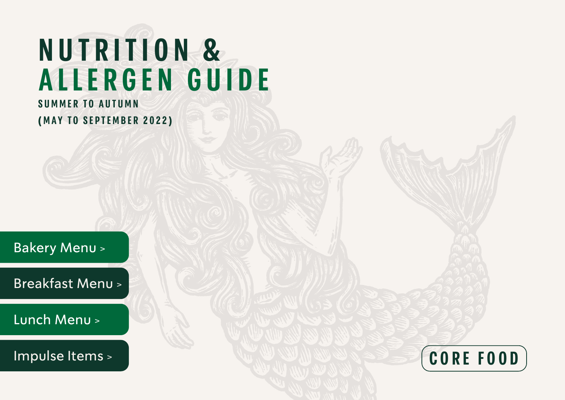# <span id="page-0-0"></span>**N U T R I T I O N & A L L E R G E N G U I D E**

# **SUMMER TO AUTUMN (MAY TO SEPTEMBER 2022)**

[Bakery Menu >](#page-2-0)

[Breakfast Menu >](#page-5-0)

[Lunch Menu >](#page-6-0)

[Impulse Items >](#page-7-0)

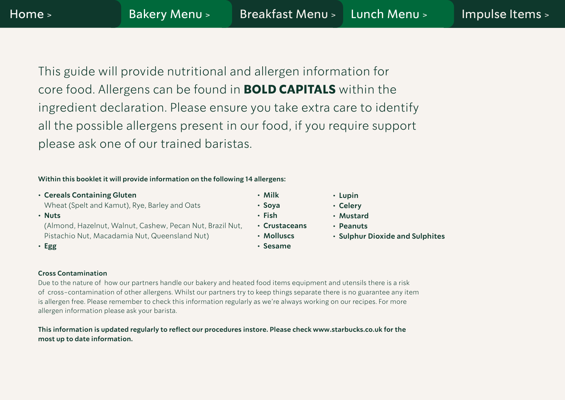This guide will provide nutritional and allergen information for core food. Allergens can be found in **BOLD CAPITALS** within the ingredient declaration. Please ensure you take extra care to identify all the possible allergens present in our food, if you require support please ask one of our trained baristas.

#### **Within this booklet it will provide information on the following 14 allergens:**

**• Cereals Containing Gluten** 

Wheat (Spelt and Kamut), Rye, Barley and Oats

**• Nuts**

(Almond, Hazelnut, Walnut, Cashew, Pecan Nut, Brazil Nut, Pistachio Nut, Macadamia Nut, Queensland Nut)

**• Egg** 

- **• Milk**
- **• Soya**
- **• Fish**
- **• Crustaceans**
- **• Molluscs**
- **• Sesame**
- **• Lupin**
- **• Celery**
- **• Mustard**
- **• Peanuts**
- **• Sulphur Dioxide and Sulphites**

#### **Cross Contamination**

Due to the nature of how our partners handle our bakery and heated food items equipment and utensils there is a risk of cross-contamination of other allergens. Whilst our partners try to keep things separate there is no guarantee any item is allergen free. Please remember to check this information regularly as we're always working on our recipes. For more allergen information please ask your barista.

**This information is updated regularly to reflect our procedures instore. Please check www.starbucks.co.uk for the most up to date information.**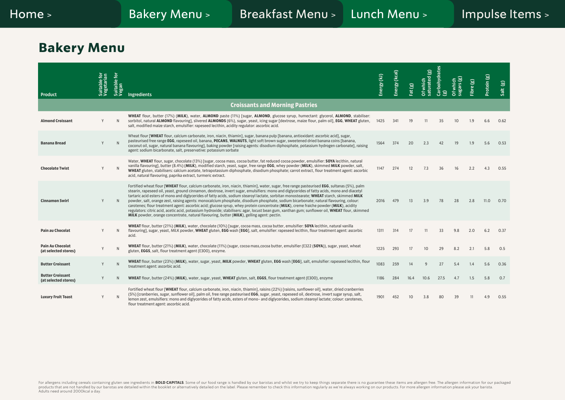# <span id="page-2-0"></span>**Bakery Menu**

| Product                                         | Suitable for<br>Vegetarian | Suitable for<br>Vegan | Ingredients                                                                                                                                                                                                                                                                                                                                                                                                                                                                                                                                                                                                                                                                                                                                                                                                                                                                                                                                                                | Energy (kJ) | Energy (kcal) | Fat (g) | $\widehat{\mathbf{g}}$<br>saturated<br>Of which | Carbohydrates<br>මු | which<br>sugars<br>៲៵ | Fibre(g) | Protein (g) | Salt (g) |
|-------------------------------------------------|----------------------------|-----------------------|----------------------------------------------------------------------------------------------------------------------------------------------------------------------------------------------------------------------------------------------------------------------------------------------------------------------------------------------------------------------------------------------------------------------------------------------------------------------------------------------------------------------------------------------------------------------------------------------------------------------------------------------------------------------------------------------------------------------------------------------------------------------------------------------------------------------------------------------------------------------------------------------------------------------------------------------------------------------------|-------------|---------------|---------|-------------------------------------------------|---------------------|-----------------------|----------|-------------|----------|
|                                                 |                            |                       | <b>Croissants and Morning Pastries</b>                                                                                                                                                                                                                                                                                                                                                                                                                                                                                                                                                                                                                                                                                                                                                                                                                                                                                                                                     |             |               |         |                                                 |                     |                       |          |             |          |
| <b>Almond Croissant</b>                         | Y                          |                       | WHEAT flour, butter (17%) (MILK), water, ALMOND paste (11%) [sugar, ALMOND, glucose syrup, humectant: glycerol, ALMOND, stabiliser:<br>sorbitol, natural ALMOND flavouring], slivered ALMONDS (6%), sugar, yeast, icing sugar [dextrose, maize flour, palm oil], EGG, WHEAT gluten,<br>salt, modified maize starch, emulsifier: rapeseed lecithin, acidity regulator: ascorbic acid.                                                                                                                                                                                                                                                                                                                                                                                                                                                                                                                                                                                       | 1425        | 341           | 19      | 11                                              | 35                  | 10                    | 1.9      | 6.6         | 0.62     |
| <b>Banana Bread</b>                             | Y                          |                       | Wheat flour [WHEAT flour, calcium carbonate, iron, niacin, thiamin], sugar, banana pulp [banana, antioxidant: ascorbic acid], sugar,<br>pasteurised free range EGG, rapeseed oil, banana, PECANS, WALNUTS, light soft brown sugar, sweetened dried banana coins [banana,<br>coconut oil, sugar, natural banana flavouring], baking powder [raising agents: disodium diphosphate, potassium hydrogen carbonate], raising<br>agent: sodium bicarbonate, salt, preservative: potassium sorbate                                                                                                                                                                                                                                                                                                                                                                                                                                                                                | 1564        | 374           | 20      | 2.3                                             | 42                  | 19                    | 1.9      | 5.6         | 0.53     |
| <b>Chocolate Twist</b>                          | Y                          |                       | Water, WHEAT flour, sugar, chocolate (13%) [sugar, cocoa mass, cocoa butter, fat reduced cocoa powder, emulsifier: SOYA lecithin, natural<br>vanilla flavouring], butter (8.4%) (MILK), modified starch, yeast, sugar, free range EGG, whey powder (MILK), skimmed MILK powder, salt,<br>WHEAT gluten, stabilisers: calcium acetate, tetrapotassium diphosphate, disodium phosphate; carrot extract, flour treatment agent: ascorbic<br>acid, natural flavouring, paprika extract, turmeric extract.                                                                                                                                                                                                                                                                                                                                                                                                                                                                       | 1147        | 274           | 12      | 7.3                                             | 36                  | 16                    | 2.2      | 4.3         | 0.55     |
| <b>Cinnamon Swirl</b>                           | Y                          |                       | Fortified wheat flour [WHEAT flour, calcium carbonate, iron, niacin, thiamin], water, sugar, free range pasteurised EGG, sultanas (5%), palm<br>stearin, rapeseed oil, yeast, ground cinnamon, dextrose, invert sugar, emulsifiers: mono and diglycerides of fatty acids, mono and diacetyl<br>tartaric acid esters of mono and diglycerides of fatty acids, sodium stearoyl lactate, sorbitan monostearate; WHEAT starch, skimmed MILK<br>powder, salt, orange zest, raising agents: monocalcium phosphate, disodium phosphate, sodium bicarbonate; natural flavouring, colour:<br>carotenes; flour treatment agent: ascorbic acid; glucose syrup, whey protein concentrate (MILK), creme fraiche powder (MILK), acidity<br>regulators: citric acid, acetic acid, potassium hydroxide; stabilisers: agar, locust bean gum, xanthan gum; sunflower oil, WHEAT flour, skimmed<br>MILK powder, orange concentrate, natural flavouring, butter (MILK), gelling agent: pectin. | 2016        | 479           | 13      | 3.9                                             | 78                  | 28                    | 2.8      | 11.0        | 0.70     |
| Pain au Chocolat                                | Y                          | N                     | WHEAT flour, butter (21%) (MILK), water, chocolate (10%) [sugar, cocoa mass, cocoa butter, emulsifier: SOYA lecithin, natural vanilla<br>flavouring], sugar, yeast, MILK powder, WHEAT gluten, EGG wash [EGG], salt, emulsifier: rapeseed lecithin, flour treatment agent: ascorbic<br>acid.                                                                                                                                                                                                                                                                                                                                                                                                                                                                                                                                                                                                                                                                               | 1311        | 314           | 17      | 11                                              | 33                  | 9.8                   | 2.0      | 6.2         | 0.37     |
| <b>Pain Au Chocolat</b><br>(at selected stores) |                            |                       | WHEAT flour, butter (21%) (MILK), water, chocolate (11%) (sugar, cocoa mass, cocoa butter, emulsifier (E322 (SOYA)), sugar, yeast, wheat<br>gluten, EGGS, salt, flour treatment agent (E300), enzyme.                                                                                                                                                                                                                                                                                                                                                                                                                                                                                                                                                                                                                                                                                                                                                                      | 1225        | 293           | 17      | 10                                              | 29                  | 8.2                   | 2.1      | 5.8         | 0.5      |
| <b>Butter Croissant</b>                         | Y                          |                       | WHEAT flour, butter (23%) (MILK), water, sugar, yeast, MILK powder, WHEAT gluten, EGG wash [EGG], salt, emulsifier: rapeseed lecithin, flour<br>treatment agent: ascorbic acid.                                                                                                                                                                                                                                                                                                                                                                                                                                                                                                                                                                                                                                                                                                                                                                                            | 1083        | 259           | 14      | 9                                               | 27                  | 5.4                   | 1.4      | 5.6         | 0.36     |
| <b>Butter Croissant</b><br>(at selected stores) | Y                          |                       | WHEAT flour, butter (24%) (MILK), water, sugar, yeast, WHEAT gluten, salt, EGGS, flour treatment agent (E300), enzyme                                                                                                                                                                                                                                                                                                                                                                                                                                                                                                                                                                                                                                                                                                                                                                                                                                                      | 1186        | 284           | 16.4    | 10.6                                            | 27.5                | 4.7                   | 1.5      | 5.8         | 0.7      |
| <b>Luxury Fruit Toast</b>                       | Y                          |                       | Fortified wheat flour [WHEAT flour, calcium carbonate, iron, niacin, thiamin], raisins (22%) [raisins, sunflower oil], water, dried cranberries<br>(5%) [cranberries, sugar, sunflower oil], palm oil, free range pasteurised EGG, sugar, yeast, rapeseed oil, dextrose, invert sugar syrup, salt,<br>lemon zest, emulsifiers: mono and diglycerides of fatty acids, esters of mono- and diglycerides, sodium stearoyl lactate; colour: carotenes,<br>flour treatment agent: ascorbic acid.                                                                                                                                                                                                                                                                                                                                                                                                                                                                                | 1901        | 452           | 10      | 3.8                                             | 80                  | 39                    | 11       | 4.9         | 0.55     |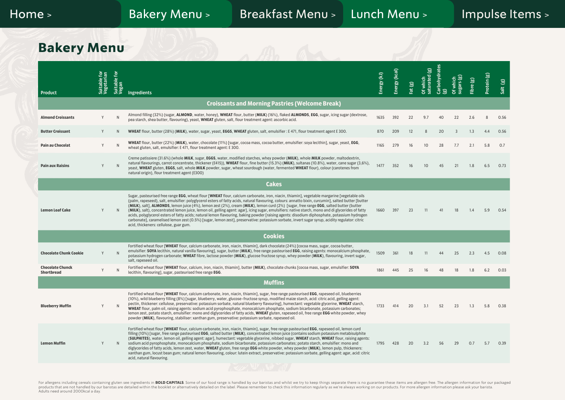## **Bakery Menu**

| Product                                      | Suitable for<br>Vegetarian | Suitable for<br>Vegan | <b>Ingredients</b>                                                                                                                                                                                                                                                                                                                                                                                                                                                                                                                                                                                                                                                                                                                                                                                                                                                                                                                              | Energy (kJ) | Energy (kcal) | Fat (g) | $\widehat{\mathbf{g}}$<br>Of which<br>saturated ( | Carbohydrates<br>$\mathbf{G}$ | Sugars (g)<br><b>Of which</b> | Fibre (g) | Protein (g) | Salt (g) |
|----------------------------------------------|----------------------------|-----------------------|-------------------------------------------------------------------------------------------------------------------------------------------------------------------------------------------------------------------------------------------------------------------------------------------------------------------------------------------------------------------------------------------------------------------------------------------------------------------------------------------------------------------------------------------------------------------------------------------------------------------------------------------------------------------------------------------------------------------------------------------------------------------------------------------------------------------------------------------------------------------------------------------------------------------------------------------------|-------------|---------------|---------|---------------------------------------------------|-------------------------------|-------------------------------|-----------|-------------|----------|
|                                              |                            |                       | <b>Croissants and Morning Pastries (Welcome Break)</b>                                                                                                                                                                                                                                                                                                                                                                                                                                                                                                                                                                                                                                                                                                                                                                                                                                                                                          |             |               |         |                                                   |                               |                               |           |             |          |
| <b>Almond Croissants</b>                     | Y                          |                       | Almond filling (32%) (sugar, ALMOND, water, honey), WHEAT flour, butter (MILK) (16%), flaked ALMONDS, EGG, sugar, icing sugar (dextrose,<br>pea starch, shea butter, flavouring), yeast, WHEAT gluten, salt, flour treatment agent: ascorbic acid.                                                                                                                                                                                                                                                                                                                                                                                                                                                                                                                                                                                                                                                                                              | 1635        | 392           | 22      | 9.7                                               | 40                            | 22                            | 2.6       | 8           | 0.56     |
| <b>Butter Croissant</b>                      | Y                          | N                     | WHEAT flour, butter (28%) (MILK), water, sugar, yeast, EGGS, WHEAT gluten, salt, emulsifier: E 471, flour treatment agent E 300.                                                                                                                                                                                                                                                                                                                                                                                                                                                                                                                                                                                                                                                                                                                                                                                                                | 870         | 209           | 12      | 8                                                 | 20                            | $\overline{3}$                | 1.3       | 4.4         | 0.56     |
| Pain au Chocolat                             | Y                          |                       | WHEAT flour, butter (22%) (MILK), water, chocolate (11%) [sugar, cocoa mass, cocoa butter, emulsifier: soya lecithin], sugar, yeast, EGG,<br>wheat gluten, salt, emulsifier: E 471, flour treatment agent: E 300.                                                                                                                                                                                                                                                                                                                                                                                                                                                                                                                                                                                                                                                                                                                               | 1165        | 279           | 16      | 10                                                | 28                            | 7.7                           | 2.1       | 5.8         | 0.7      |
| <b>Pain aux Raisins</b>                      | Y                          |                       | Creme patissiere (31.6%) (whole MILK, sugar, EGGS, water, modified starches, whey powder (MILK), whole MILK powder, maltodextrin,<br>natural flavourings, carrot concentrate, thickener (E415)), WHEAT flour, fine butter (15.3%) (MILK), sultanas (10.8%), water, cane sugar (3,6%),<br>yeast, WHEAT gluten, EGGS, salt, whole MILK powder, sugar, wheat sourdough (water, fermented WHEAT flour), colour (carotenes from<br>natural origin), flour treatment agent (E300)                                                                                                                                                                                                                                                                                                                                                                                                                                                                     | 1477        | 352           | 16      | 10                                                | 45                            | 21                            | 1.8       | 6.5         | 0.73     |
|                                              |                            |                       | <b>Cakes</b>                                                                                                                                                                                                                                                                                                                                                                                                                                                                                                                                                                                                                                                                                                                                                                                                                                                                                                                                    |             |               |         |                                                   |                               |                               |           |             |          |
| <b>Lemon Loaf Cake</b>                       | Y                          |                       | Sugar, pasteurised free range EGG, wheat flour [WHEAT flour, calcium carbonate, iron, niacin, thiamin], vegetable margarine [vegetable oils<br>(palm, rapeseed), salt, emulsifier: polyglycerol esters of fatty acids, natural flavouring, colours: annatto bixin, curcumin], salted butter [butter]<br>(MILK), salt], ALMONDS, lemon juice (4%), lemon zest (2%), cream (MILK), lemon curd (2%) [sugar, free range EGG, salted butter (butter<br>(MILK), salt), concentrated lemon juice, lemon oil, gelling agent: agar], icing sugar, emulsifiers: native starch, mono and di glycerides of fatty<br>acids, polyglycerol esters of fatty acids; natural lemon flavouring, baking powder [raising agents: disodium diphosphate, potassium hydrogen<br>carbonate], caramelised lemon zest (0.5%) [sugar, lemon zest], preservative: potassium sorbate, invert sugar syrup, acidity regulator: citric<br>acid, thickeners: cellulose, guar gum. | 1660        | 397           | 23      | 11                                                | 41                            | 18                            | 1.4       | 5.9         | 0.54     |
|                                              |                            |                       | <b>Cookies</b>                                                                                                                                                                                                                                                                                                                                                                                                                                                                                                                                                                                                                                                                                                                                                                                                                                                                                                                                  |             |               |         |                                                   |                               |                               |           |             |          |
| <b>Chocolate Chunk Cookie</b>                | Y                          | N                     | Fortified wheat flour [WHEAT flour, calcium carbonate, iron, niacin, thiamin], dark chocolate (24%) [cocoa mass, sugar, cocoa butter,<br>emulsifier: SOYA lecithin, natural vanilla flavouring], sugar, butter (MILK), free range pasteurised EGG, raising agents: monocalcium phosphate,<br>potassium hydrogen carbonate; WHEAT fibre, lactose powder (MILK), glucose fructose syrup, whey powder (MILK), flavouring, invert sugar,<br>salt, rapeseed oil.                                                                                                                                                                                                                                                                                                                                                                                                                                                                                     | 1509        | 361           | 18      | 11                                                | 44                            | 25                            | 2.3       | 4.5         | 0.08     |
| <b>Chocolate Chunck</b><br><b>Shortbread</b> | Y                          |                       | Fortified wheat flour [WHEAT flour, calcium, iron, niacin, thiamin], butter (MILK), chocolate chunks [cocoa mass, sugar, emulsifier: SOYA<br>lecithin, flavouring], sugar, pasteurised free range EGG.                                                                                                                                                                                                                                                                                                                                                                                                                                                                                                                                                                                                                                                                                                                                          | 1861        | 445           | 25      | 16                                                | 48                            | 18                            | 1.8       | 6.2         | 0.03     |
|                                              |                            |                       | <b>Muffins</b>                                                                                                                                                                                                                                                                                                                                                                                                                                                                                                                                                                                                                                                                                                                                                                                                                                                                                                                                  |             |               |         |                                                   |                               |                               |           |             |          |
| <b>Blueberry Muffin</b>                      | Y                          |                       | Fortified wheat flour [WHEAT flour, calcium carbonate, iron, niacin, thiamin], sugar, free range pasteurised EGG, rapeseed oil, blueberries<br>(10%), wild blueberry filling (8%) [sugar, blueberry, water, glucose-fructose syrup, modified maize starch, acid: citric acid, gelling agent:<br>pectin, thickener: cellulose, preservative: potassium sorbate, natural blueberry flavouring], humectant: vegetable glycerine, WHEAT starch,<br>WHEAT flour, palm oil, raising agents: sodium acid pyrophosphate, monocalcium phosphate, sodium bicarbonate, potassium carbonates;<br>lemon zest, potato starch, emulsifier: mono and diglycerides of fatty acids, WHEAT gluten, rapeseed oil, free range EGG white powder, whey<br>powder (MILK), flavouring, stabiliser: xanthan gum, preservative: potassium sorbate, rapeseed oil.                                                                                                           | 1733        | 414           | 20      | 3.1                                               | 52                            | 23                            | 1.3       | 5.8         | 0.38     |
| <b>Lemon Muffin</b>                          | Y                          |                       | Fortified wheat flour [WHEAT flour, calcium carbonate, iron, niacin, thiamin], sugar, free range pasteurised EGG, rapeseed oil, lemon curd<br>filling (10%) [sugar, free range pasteurised EGG, salted butter (MILK), concentrated lemon juice (contains sodium potassium metabisulphite<br>(SULPHITES), water, lemon oil, gelling agent: agar], humectant: vegetable glycerine, nibbed sugar, WHEAT starch, WHEAT flour, raising agents:<br>sodium acid pyrophosphate, monocalcium phosphate, sodium bicarbonate, potassium carbonates; potato starch, emulsifier: mono and<br>diglycerides of fatty acids, lemon zest, water, WHEAT gluten, free range EGG white powder, whey powder (MILK), lemon pulp, thickeners:<br>xanthan gum, locust bean gum; natural lemon flavouring, colour: lutein extract, preservative: potassium sorbate, gelling agent: agar, acid: citric<br>acid, natural flavouring.                                       | 1795        | 428           | 20      | 3.2                                               | 56                            | 29                            | 0.7       | 5.7         | 0.39     |
|                                              |                            |                       |                                                                                                                                                                                                                                                                                                                                                                                                                                                                                                                                                                                                                                                                                                                                                                                                                                                                                                                                                 |             |               |         |                                                   |                               |                               |           |             |          |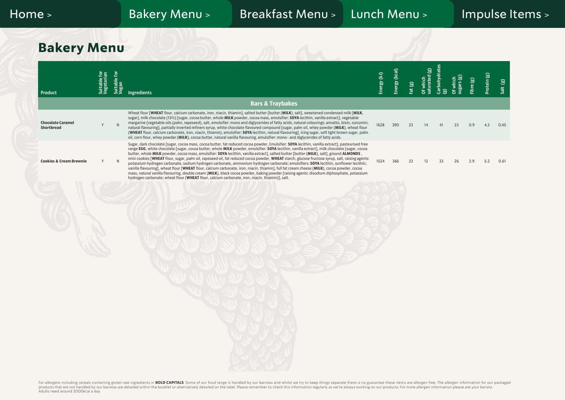## **Bakery Menu**

| Product                                       | Suitable for<br>Vegetarian | Suitable for<br>Vegan | Ingredients                                                                                                                                                                                                                                                                                                                                                                                                                                                                                                                                                                                                                                                                                                                                                                                                                                                                                                                                                                                                                                                                                                                             | Energy (kJ) | Energy (kcal) | Fat (g) | Of which<br>saturated (g) | Carbohydrates<br>$\widehat{\mathbf{e}}$ | sugars (g)<br>Of which | Fibre $(g)$ | Protein (g) | Salt (g) |
|-----------------------------------------------|----------------------------|-----------------------|-----------------------------------------------------------------------------------------------------------------------------------------------------------------------------------------------------------------------------------------------------------------------------------------------------------------------------------------------------------------------------------------------------------------------------------------------------------------------------------------------------------------------------------------------------------------------------------------------------------------------------------------------------------------------------------------------------------------------------------------------------------------------------------------------------------------------------------------------------------------------------------------------------------------------------------------------------------------------------------------------------------------------------------------------------------------------------------------------------------------------------------------|-------------|---------------|---------|---------------------------|-----------------------------------------|------------------------|-------------|-------------|----------|
|                                               |                            |                       | <b>Bars &amp; Traybakes</b>                                                                                                                                                                                                                                                                                                                                                                                                                                                                                                                                                                                                                                                                                                                                                                                                                                                                                                                                                                                                                                                                                                             |             |               |         |                           |                                         |                        |             |             |          |
| <b>Chocolate Caramel</b><br><b>Shortbread</b> | Y                          | ${\sf N}$             | Wheat flour [WHEAT flour, calcium carbonate, iron, niacin, thiamin], salted butter [butter (MILK), salt], sweetened condensed milk [MILK,<br>sugar], milk chocolate (15%) [sugar, cocoa butter, whole MILK powder, cocoa mass, emulsifier: SOYA lecithin, vanilla extract], vegetable<br>margarine [vegetable oils (palm, rapeseed), salt, emulsifier: mono and diglycerides of fatty acids, natural colourings: annatto, bixin, curcumin;<br>natural flavouring], partially inverted refiners syrup, white chocolate flavoured compound [sugar, palm oil, whey powder (MILK), wheat flour<br>(WHEAT flour, calcium carbonate, iron, niacin, thiamin), emulsifier: SOYA lecithin, natural flavouring], icing sugar, soft light brown sugar, palm<br>oil, corn flour, whey powder (MILK), cocoa butter, natural vanilla flavouring, emulsifier: mono- and diglycerides of fatty acids.                                                                                                                                                                                                                                                   | 1628        | 390           | 23      | 14                        |                                         | 23                     | 0.9         | 4.3         | 0.45     |
| <b>Cookies &amp; Cream Brownie</b>            | V                          | $\mathsf{N}$          | Sugar, dark chocolate [sugar, cocoa mass, cocoa butter, fat reduced cocoa powder, Emulsifier: SOYA lecithin, vanilla extract], pasteurised free<br>range EGG, white chocolate [sugar, cocoa butter, whole MILK powder, emulsifier: SOYA lecithin, vanilla extract], milk chocolate [sugar, cocoa<br>butter, whole MILK powder, cocoa mass, emulsifier: SOYA lecithin, vanilla extract], salted butter [butter (MILK), salt], ground ALMONDS,<br>mini cookies [WHEAT flour, sugar, palm oil, rapeseed oil, fat reduced cocoa powder, WHEAT starch, glucose fructose syrup, salt, raising agents:<br>potassium hydrogen carbonate, sodium hydrogen carbonate, ammonium hydrogen carbonate; emulsifiers: SOYA lecithin, sunflower lecithin;<br>vanilla flavouring], wheat flour [WHEAT flour, calcium carbonate, iron, niacin, thiamin], full fat cream cheese (MILK), cocoa powder, cocoa<br>mass, natural vanilla flavouring, double cream (MILK), black cocoa powder, baking powder [raising agents: disodium diphosphate, potassium<br>hydrogen carbonate; wheat flour (WHEAT flour, calcium carbonate, iron, niacin, thiamin)], salt. | 1524        | 366           | 23      | 13                        | 33                                      | 26                     | 2.9         | 5.2         | 0.61     |
|                                               |                            |                       |                                                                                                                                                                                                                                                                                                                                                                                                                                                                                                                                                                                                                                                                                                                                                                                                                                                                                                                                                                                                                                                                                                                                         |             |               |         |                           |                                         |                        |             |             |          |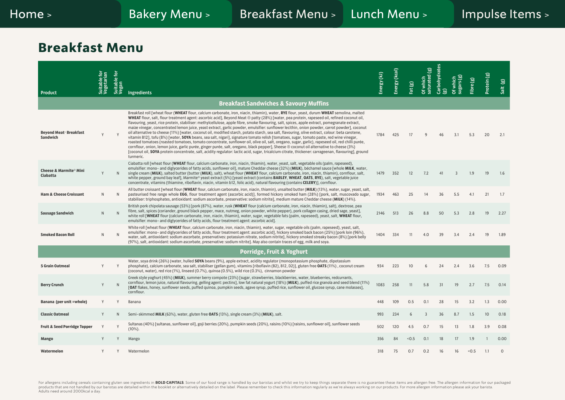# <span id="page-5-0"></span>**Breakfast Menu**

| Product                                        | Suitable for<br>Vegetarian | Suitable for<br>Vegan | <b>Ingredients</b>                                                                                                                                                                                                                                                                                                                                                                                                                                                                                                                                                                                                                                                                                                                                                                                                                                                                                                                                                                                                                                                                                                                                                                                                                                                                                                                                               | Energy (kJ) | Energy (kcal) | Fat(g) | Of which<br>saturated (g) | Carbohydrates<br>මු | Sugars (g)<br>Of which | Fibre (g) | Protein (g) | Salt (g)    |
|------------------------------------------------|----------------------------|-----------------------|------------------------------------------------------------------------------------------------------------------------------------------------------------------------------------------------------------------------------------------------------------------------------------------------------------------------------------------------------------------------------------------------------------------------------------------------------------------------------------------------------------------------------------------------------------------------------------------------------------------------------------------------------------------------------------------------------------------------------------------------------------------------------------------------------------------------------------------------------------------------------------------------------------------------------------------------------------------------------------------------------------------------------------------------------------------------------------------------------------------------------------------------------------------------------------------------------------------------------------------------------------------------------------------------------------------------------------------------------------------|-------------|---------------|--------|---------------------------|---------------------|------------------------|-----------|-------------|-------------|
|                                                |                            |                       | <b>Breakfast Sandwiches &amp; Savoury Muffins</b>                                                                                                                                                                                                                                                                                                                                                                                                                                                                                                                                                                                                                                                                                                                                                                                                                                                                                                                                                                                                                                                                                                                                                                                                                                                                                                                |             |               |        |                           |                     |                        |           |             |             |
| <b>Beyond Meat Breakfast</b><br>Sandwich       |                            |                       | Breakfast roll [wheat flour (WHEAT flour, calcium carbonate, iron, niacin, thiamin), water, RYE flour, yeast, durum WHEAT semolina, malted<br>WHEAT flour, salt, flour treatment agent: ascorbic acid], Beyond Meat @ patty (28%) [water, pea protein, rapeseed oil, refined coconut oil,<br>flavouring, yeast, rice protein, stabiliser: methylcellulose, apple fibre, smoke flavouring, salt, spices, apple extract, pomegranate extract,<br>maize vinegar, concentrated lemon juice, yeast extract, garlic powder, emulsifier: sunflower lecithin, onion powder, carrot powder], coconut<br>oil alternative to cheese (11%) [water, coconut oil, modified starch, potato starch, sea salt, flavouring, olive extract, colour: beta carotene,<br>vitamin B12], tofu (8%) [water, SOYA beans, sea salt, nigari], signature tomato relish [tomatoes, sugar, tomato paste, red wine vinegar,<br>roasted tomatoes (roasted tomatoes, tomato concentrate, sunflower oil, olive oil, salt, oregano, sugar, garlic), rapeseed oil, red chilli purée,<br>cornflour, onion, lemon juice, garlic purée, ginger purée, salt, oregano, black pepper], Sheese @ coconut oil alternative to cheese (3%)<br>[coconut oil, SOYA protein concentrate, salt, acidity regulator: lactic acid, sugar, tricalcium citrate, thickener: carrageenan, flavouring], ground<br>turmeric. | 1784        | 425           | 17     | 9                         | 46                  | 3.1                    | 5.3       | 20          | 2.1         |
| Cheese & Marmite <sup>®</sup> Mini<br>Ciabatta |                            | N                     | Ciabatta roll [wheat flour (WHEAT flour, calcium carbonate, iron, niacin, thiamin), water, yeast, salt, vegetable oils (palm, rapeseed),<br>emulsifier: mono- and diglycerides of fatty acids, sunflower oil], mature Cheddar cheese (32%) (MILK), béchamel sauce [whole MILK, water,<br>single cream (MILK), salted butter (butter (MILK), salt), wheat flour (WHEAT flour, calcium carbonate, iron, niacin, thiamin), cornflour, salt,<br>white pepper, ground bay leaf], Marmite® yeast extract (5%) [yeast extract (contains BARLEY, WHEAT, OATS, RYE), salt, vegetable juice<br>concentrate, vitamins (thiamine, riboflavin, niacin, vitamin b12, folic acid), natural flavouring (contains CELERY)], cornflour.                                                                                                                                                                                                                                                                                                                                                                                                                                                                                                                                                                                                                                            | 1479        | 352           | 12     | 7.2                       | 41                  | $\overline{3}$         | 1.9       | 19          | 1.6         |
| <b>Ham &amp; Cheese Croissant</b>              | $\mathsf{N}$               | N                     | All butter croissant [wheat flour (WHEAT flour, calcium carbonate, iron, niacin, thiamin), unsalted butter (MILK) (13%), water, sugar, yeast, salt,<br>pasteurised free range whole EGG, flour treatment agent (ascorbic acid)], formed hickory smoked ham (28%) [pork, salt, muscovado sugar,<br>stabiliser: triphosphates, antioxidant: sodium ascorbate, preservative: sodium nitrite], medium mature Cheddar cheese (MILK) (14%).                                                                                                                                                                                                                                                                                                                                                                                                                                                                                                                                                                                                                                                                                                                                                                                                                                                                                                                            | 1934        | 463           | 25     | 14                        | 36                  | 5.5                    | 4.1       | 21          | 1.7         |
| <b>Sausage Sandwich</b>                        | N                          | N                     | British pork chipolata sausage (53%) [pork (87%), water, rusk (WHEAT flour (calcium carbonate, iron, niacin, thiamin), salt), dextrose, pea<br>fibre, salt, spices (coriander, ground black pepper, mace, nutmeg, onion powder, white pepper), pork collagen casing, dried sage, yeast],<br>white roll [WHEAT flour (calcium carbonate, iron, niacin, thiamin), water, sugar, vegetable fats (palm, rapeseed), yeast, salt, WHEAT flour,<br>emulsifier: mono- and diglycerides of fatty acids, flour treatment agent: ascorbic acid].                                                                                                                                                                                                                                                                                                                                                                                                                                                                                                                                                                                                                                                                                                                                                                                                                            | 2146        | 513           | 26     | 8.8                       | 50                  | 5.3                    | 2.8       | 19          | 2.27        |
| <b>Smoked Bacon Roll</b>                       | N                          | N                     | White roll [wheat flour (WHEAT flour, calcium carbonate, iron, niacin, thiamin), water, sugar, vegetable oils (palm, rapeseed), yeast, salt,<br>emulsifier: mono- and diglycerides of fatty acids, flour treatment agent: ascorbic acid], hickory smoked back bacon (25%) [pork loin (96%),<br>water, salt, antioxidant: sodium ascorbate, preservatives: potassium nitrate, sodium nitrite], hickory smoked streaky bacon (8%) [pork belly<br>(97%), salt, antioxidant: sodium ascorbate, preservative: sodium nitrite]. May also contain traces of egg, milk and soya.                                                                                                                                                                                                                                                                                                                                                                                                                                                                                                                                                                                                                                                                                                                                                                                         | 1404        | 334           | 11     | 4.0                       | 39                  | 3.4                    | 2.4       | 19          | 1.89        |
|                                                |                            |                       | <b>Porridge, Fruit &amp; Yoghurt</b>                                                                                                                                                                                                                                                                                                                                                                                                                                                                                                                                                                                                                                                                                                                                                                                                                                                                                                                                                                                                                                                                                                                                                                                                                                                                                                                             |             |               |        |                           |                     |                        |           |             |             |
| <b>5 Grain Oatmeal</b>                         | Y                          |                       | Water, soya drink (26%) (water, hulled SOYA beans (9%), apple extract, acidity regulator (monopotassium phosphate, dipotassium<br>phosphate), calcium carbonate, sea salt, stabiliser (gellan gum), vitamins [riboflavin (B2), B12, D2)], gluten free OATS (11%), coconut cream<br>(coconut, water), red rice (1%), linseed (0.7%), quinoa (0.5%), wild rice (0.3%), cinnamon powder                                                                                                                                                                                                                                                                                                                                                                                                                                                                                                                                                                                                                                                                                                                                                                                                                                                                                                                                                                             | 934         | 223           | 10     | 6                         | 24                  | 2.4                    | 3.6       | 7.5         | 0.09        |
| <b>Berry Crunch</b>                            | Y                          | N                     | Greek style yoghurt (45%) (MILK), summer berry compote (23%) [sugar, strawberries, blackberries, water, blueberries, redcurrants,<br>cornflour, lemon juice, natural flavouring, gelling agent: pectins], low fat natural yogurt (18%) (MILK), puffed rice granola and seed blend (11%)<br>[OAT flakes, honey, sunflower seeds, puffed quinoa, pumpkin seeds, agave syrup, puffed rice, sunflower oil, glucose syrup, cane molasses],<br>cornflour.                                                                                                                                                                                                                                                                                                                                                                                                                                                                                                                                                                                                                                                                                                                                                                                                                                                                                                              | 1083        | 258           | 11     | 5.8                       | 31                  | 19                     | 2.7       | 7.5         | 0.14        |
| Banana (per unit = whole)                      | Y                          |                       | Banana                                                                                                                                                                                                                                                                                                                                                                                                                                                                                                                                                                                                                                                                                                                                                                                                                                                                                                                                                                                                                                                                                                                                                                                                                                                                                                                                                           | 448         | 109           | 0.5    | 0.1                       | 28                  | 15                     | 3.2       | 1.3         | 0.00        |
| <b>Classic Oatmeal</b>                         | Y                          | N.                    | Semi-skimmed MILK (63%), water, gluten free OATS (13%), single cream (3%) (MILK), salt.                                                                                                                                                                                                                                                                                                                                                                                                                                                                                                                                                                                                                                                                                                                                                                                                                                                                                                                                                                                                                                                                                                                                                                                                                                                                          | 993         | 234           | 6      | $\overline{3}$            | 36                  | 8.7                    | 1.5       | 10          | 0.18        |
| <b>Fruit &amp; Seed Porridge Topper</b>        |                            |                       | Sultanas (40%) [sultanas, sunflower oil], goji berries (20%), pumpkin seeds (20%), raisins (10%) [raisins, sunflower oil], sunflower seeds<br>$(10\%)$ .                                                                                                                                                                                                                                                                                                                                                                                                                                                                                                                                                                                                                                                                                                                                                                                                                                                                                                                                                                                                                                                                                                                                                                                                         | 502         | 120           | 4.5    | 0.7                       | 15                  | 13                     | 1.8       | 3.9         | 0.08        |
| Mango                                          |                            |                       | Mango                                                                                                                                                                                                                                                                                                                                                                                                                                                                                                                                                                                                                                                                                                                                                                                                                                                                                                                                                                                                                                                                                                                                                                                                                                                                                                                                                            | 356         | 84            | < 0.5  | 0.1                       | 18                  | 17                     | 1.9       |             | 0.00        |
| Watermelon                                     | Y                          | Y                     | Watermelon                                                                                                                                                                                                                                                                                                                                                                                                                                                                                                                                                                                                                                                                                                                                                                                                                                                                                                                                                                                                                                                                                                                                                                                                                                                                                                                                                       | 318         | 75            | 0.7    | 0.2                       | 16                  | 16                     | < 0.5     | 1.1         | $\mathbf 0$ |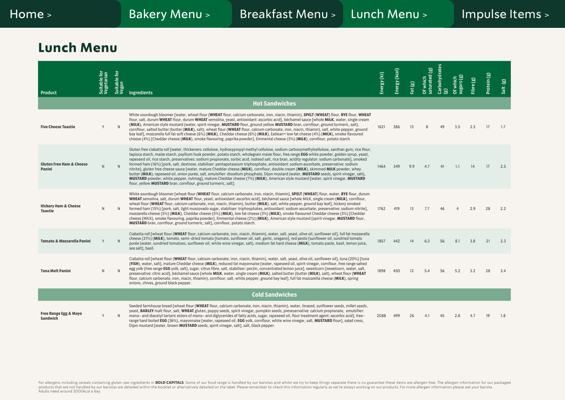## <span id="page-6-0"></span>**Lunch Menu**

|                                                   | Suitable for<br>Vegetarian | Suitable for<br>Vegan |                                                                                                                                                                                                                                                                                                                                                                                                                                                                                                                                                                                                                                                                                                                                                                                                                                                                                                                                                                                                                                                                                               | Energy (kJ) | Energy (kcal) | Fat(g) | Of which<br>saturated (g) | Carbohydrates | Of which<br>sugars (g) | Fibre (g) | Protein (g) | Salt (g) |
|---------------------------------------------------|----------------------------|-----------------------|-----------------------------------------------------------------------------------------------------------------------------------------------------------------------------------------------------------------------------------------------------------------------------------------------------------------------------------------------------------------------------------------------------------------------------------------------------------------------------------------------------------------------------------------------------------------------------------------------------------------------------------------------------------------------------------------------------------------------------------------------------------------------------------------------------------------------------------------------------------------------------------------------------------------------------------------------------------------------------------------------------------------------------------------------------------------------------------------------|-------------|---------------|--------|---------------------------|---------------|------------------------|-----------|-------------|----------|
| <b>Product</b>                                    |                            |                       | Ingredients                                                                                                                                                                                                                                                                                                                                                                                                                                                                                                                                                                                                                                                                                                                                                                                                                                                                                                                                                                                                                                                                                   |             |               |        |                           | මු            |                        |           |             |          |
|                                                   |                            |                       | <b>Hot Sandwiches</b>                                                                                                                                                                                                                                                                                                                                                                                                                                                                                                                                                                                                                                                                                                                                                                                                                                                                                                                                                                                                                                                                         |             |               |        |                           |               |                        |           |             |          |
| <b>Five Cheese Toastie</b>                        | Y                          |                       | White sourdough bloomer [water, wheat flour (WHEAT flour, calcium carbonate, iron, niacin, thiamin), SPELT (WHEAT) flour, RYE flour, WHEAT<br>flour, salt, durum WHEAT flour, durum WHEAT semolina, yeast, antioxidant: ascorbic acid], béchamel sauce [whole MILK, water, single cream<br>(MILK), American style mustard (water, spirit vinegar, MUSTARD flour, ground yellow MUSTARD bran, cornflour, ground turmeric, salt),<br>cornflour, salted butter (butter (MILK), salt), wheat flour (WHEAT flour, calcium carbonate, iron, niacin, thiamin), salt, white pepper, ground<br>bay leaf], mozzarella full fat soft cheese (6%) (MILK), Cheddar cheese (6%) (MILK), Eatlean <sup>na</sup> low fat cheese (4%) (MILK), smoke flavoured<br>cheese (4%) [Cheddar cheese (MILK), smoke flavouring, paprika powder], Emmental cheese (3%) (MILK), cornflour, potato starch.                                                                                                                                                                                                                  | 1621        | 386           | 13     |                           | 49            | 3.5                    | 2.3       | 17          | 1.7      |
| <b>Gluten Free Ham &amp; Cheese</b><br>Panini     | N                          |                       | Gluten free ciabatta roll [water, thickeners: cellulose, hydroxypropyl methyl cellulose, sodium carboxymethylcellulose, xanthan gum, rice flour,<br>tapioca starch, maize starch, psyllium husk powder, potato starch, wholegrain maize flour, free range EGG white powder, golden syrup, yeast,<br>rapeseed oil, rice starch, preservatives: sodium propionate, sorbic acid, iodised salt, rice bran, acidity regulator: sodium carbonate], smoked<br>formed ham (16%) [pork, salt, dextrose, stabiliser: pentapotassium triphosphate, antioxidant: sodium ascorbate, preservative: sodium<br>nitrite], gluten free cheese sauce [water, mature Cheddar cheese (MILK), cornflour, double cream (MILK), skimmed MILK powder, whey<br>butter (MILK), rapeseed oil, onion purée, salt, emulsifier: disodium phosphate, Dijon mustard (water, MUSTARD seeds, spirit vinegar, salt),<br>MUSTARD powder, white pepper, nutmeg], mature Cheddar cheese (7%) (MILK), American style mustard [water, spirit vinegar, MUSTARD<br>flour, yellow <b>MUSTARD</b> bran, cornflour, ground turmeric, salt]. | 1464        | 349           | 9.9    | 4.7                       | 41            | 1.1                    | 14        | 17          | 2.5      |
| <b>Hickory Ham &amp; Cheese</b><br><b>Toastie</b> | N                          | N                     | White sourdough bloomer [wheat flour (WHEAT flour, calcium carbonate, iron, niacin, thiamin), SPELT (WHEAT) flour, water, RYE flour, durum<br>WHEAT semolina, salt, durum WHEAT flour, yeast, antioxidant: ascorbic acid], béchamel sauce [whole MILK, single cream (MILK), cornflour,<br>wheat flour (WHEAT flour, calcium carbonate, iron, niacin, thiamin), butter (MILK), salt, white pepper, ground bay leaf], hickory smoked<br>formed ham (15%) [pork, salt, light muscovado sugar, stabiliser: triphosphates, antioxidant: sodium ascorbate, preservative: sodium nitrite],<br>mozzarella cheese (5%) (MILK), Cheddar cheese (5%) (MILK), low fat cheese (3%) (MILK), smoke flavoured Cheddar cheese (3%) [Cheddar<br>cheese (MILK), smoke flavouring, paprika powder], Emmental cheese (2%) (MILK), American style mustard [spirit vinegar, MUSTARD flour,<br><b>MUSTARD</b> bran, cornflour, ground turmeric, salt], cornflour, potato starch.                                                                                                                                      | 1762        | 419           | 13     | 7.7                       | 46            |                        | 2.9       | 28          | 2.2      |
| <b>Tomato &amp; Mozzarella Panini</b>             | Y                          |                       | Ciabatta roll [wheat flour (WHEAT flour, calcium carbonate, iron, niacin, thiamin), water, salt, yeast, olive oil, sunflower oil], full fat mozzarella<br>cheese (21%) (MILK), tomato, semi-dried tomato [tomato, sunflower oil, salt, garlic, oregano], red pesto [sunflower oil, sundried tomato<br>purée (water, sundried tomatoes, sunflower oil, white wine vinegar, salt), medium fat hard cheese (MILK), tomato paste, basil, lemon juice,<br>sea salt], basil.                                                                                                                                                                                                                                                                                                                                                                                                                                                                                                                                                                                                                        | 1857        | 442           | 14     | 6.3                       | 56            | 8.1                    | 3.8       | 21          | 2.3      |
| <b>Tuna Melt Panini</b>                           | N                          |                       | Ciabatta roll [wheat flour (WHEAT flour, calcium carbonate, iron, niacin, thiamin), water, salt, yeast, olive oil, sunflower oil], tuna (20%) [tuna<br>(FISH), water, salt], mature Cheddar cheese (MILK), reduced fat mayonnaise [water, rapeseed oil, spirit vinegar, cornflour, free range salted<br>egg yolk (free range EGG yolk, salt), sugar, citrus fibre, salt, stabiliser: pectin, concentrated lemon juice], sweetcorn [sweetcorn, water, salt,<br>preservative: citric acid], béchamel sauce [whole MILK, water, single cream (MILK), salted butter (butter (MILK), salt), wheat flour (WHEAT<br>flour, calcium carbonate, iron, niacin, thiamin), cornflour, salt, white pepper, ground bay leaf], full fat mozzarella cheese (MILK), spring<br>onions, chives, ground black pepper.                                                                                                                                                                                                                                                                                             | 1898        | 450           | 12     | 5.4                       | 56            | 5.2                    | 3.2       | 28          | 2.4      |
|                                                   |                            |                       | <b>Cold Sandwiches</b>                                                                                                                                                                                                                                                                                                                                                                                                                                                                                                                                                                                                                                                                                                                                                                                                                                                                                                                                                                                                                                                                        |             |               |        |                           |               |                        |           |             |          |
| <b>Free Range Egg &amp; Mayo</b><br>Sandwich      | Y                          |                       | Seeded farmhouse bread [wheat flour (WHEAT flour, calcium carbonate, iron, niacin, thiamin), water, linseed, sunflower seeds, millet seeds,<br>yeast, BARLEY malt flour, salt, WHEAT gluten, poppy seeds, spirit vinegar, pumpkin seeds, preseservative: calcium propionate, emulsifier:<br>mono- and diacetyl tartaric esters of mono- and diglycerides of fatty acids, sugar, rapeseed oil, flour treatment agent: ascorbic acid], free-<br>range hard boiled EGG (36%), mayonnaise [water, rapeseed oil, EGG yolk, cornflour, white wine vinegar, salt, MUSTARD flour], salad cress,<br>Dijon mustard [water, brown <b>MUSTARD</b> seeds, spirit vinegar, salt], salt, black pepper.                                                                                                                                                                                                                                                                                                                                                                                                       | 2088        | 499           | 26     | 4.1                       | 45            | 2.8                    | 4.7       | 19          | 1.8      |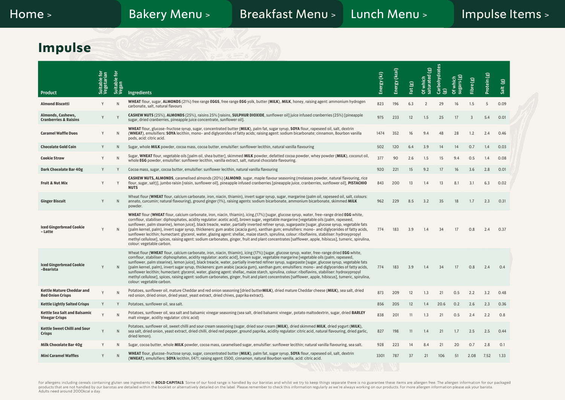#### <span id="page-7-0"></span>**Impulse**

| Product                                                     | Suitable for<br>Vegetarian | 흐<br>Suitable f<br>Vegan | <b>Ingredients</b>                                                                                                                                                                                                                                                                                                                                                                                                                                                                                                                                                                                                                                                                                                                                                                                                                                                                                                                   | Energy (kJ) | Energy (kcal) | Fat(g) | Of which<br>saturated (g) | Carbohydrates<br>මු | Of which<br>sugars (g) | Fibre (g) | Protein (g) | මූ<br>Salt |
|-------------------------------------------------------------|----------------------------|--------------------------|--------------------------------------------------------------------------------------------------------------------------------------------------------------------------------------------------------------------------------------------------------------------------------------------------------------------------------------------------------------------------------------------------------------------------------------------------------------------------------------------------------------------------------------------------------------------------------------------------------------------------------------------------------------------------------------------------------------------------------------------------------------------------------------------------------------------------------------------------------------------------------------------------------------------------------------|-------------|---------------|--------|---------------------------|---------------------|------------------------|-----------|-------------|------------|
| <b>Almond Biscotti</b>                                      | Y                          | N                        | WHEAT flour, sugar, ALMONDS (21%) free range EGGS, free range EGG yolk, butter (MILK), MILK, honey, raising agent: ammonium hydrogen<br>carbonate, salt, natural flavours                                                                                                                                                                                                                                                                                                                                                                                                                                                                                                                                                                                                                                                                                                                                                            | 823         | 196           | 6.3    | $\overline{2}$            | 29                  | 16                     | 1.5       | 5           | 0.09       |
| Almonds, Cashews,<br><b>Cranberries &amp; Raisins</b>       |                            |                          | CASHEW NUTS (25%), ALMONDS (25%), raisins 25% [raisins, SULPHUR DIOXIDE, sunflower oil] juice infused cranberries (25%) [pineapple<br>sugar, dried cranberries, pineapple juice concentrate, sunflower oil].                                                                                                                                                                                                                                                                                                                                                                                                                                                                                                                                                                                                                                                                                                                         | 975         | 233           | 12     | 1.5                       | 25                  | 17                     | 3         | 5.4         | 0.01       |
| <b>Caramel Waffle Duos</b>                                  | Y                          | N                        | WHEAT flour, glucose-fructose syrup, sugar, concentrated butter (MILK), palm fat, sugar syrup, SOYA flour, rapeseed oil, salt, dextrin<br>(WHEAT), emulsifiers: SOYA lecithin, mono- and diglycerides of fatty acids; raising agent: sodium bicarbonate; cinnamon, Bourbon vanilla<br>pods, acid: citric acid.                                                                                                                                                                                                                                                                                                                                                                                                                                                                                                                                                                                                                       | 1474        | 352           | 16     | 9.4                       | 48                  | 28                     | 1.2       | 2.4         | 0.46       |
| <b>Chocolate Gold Coin</b>                                  | Y                          | N.                       | Sugar, whole MILK powder, cocoa mass, cocoa butter, emulsifier: sunflower lecithin, natural vanilla flavouring                                                                                                                                                                                                                                                                                                                                                                                                                                                                                                                                                                                                                                                                                                                                                                                                                       | 502         | 120           | 6.4    | 3.9                       | 14                  | 14                     | 0.7       | 1.4         | 0.03       |
| <b>Cookie Straw</b>                                         | Y                          | N                        | Sugar, WHEAT flour, vegetable oils [palm oil, shea butter], skimmed MILK powder, defatted cocoa powder, whey powder (MILK), coconut oil,<br>whole EGG powder, emulsifier: sunflower lecithin, vanilla extract, salt, natural chocolate flavouring.                                                                                                                                                                                                                                                                                                                                                                                                                                                                                                                                                                                                                                                                                   | 377         | 90            | 2.6    | 1.5                       | 15                  | 9.4                    | 0.5       | 1.4         | 0.08       |
| Dark Chocolate Bar 40g                                      | Y                          |                          | Cocoa mass, sugar, cocoa butter, emulsifier: sunflower lecithin, natural vanilla flavouring                                                                                                                                                                                                                                                                                                                                                                                                                                                                                                                                                                                                                                                                                                                                                                                                                                          | 920         | 221           | 15     | 9.2                       | 17                  | 16                     | 3.6       | 2.8         | 0.01       |
| <b>Fruit &amp; Nut Mix</b>                                  | Y                          | Y                        | CASHEW NUTS, ALMONDS, caramelised almonds (20%) [ALMOND, sugar, maple flavour seasoning (molasses powder, natural flavouring, rice<br>flour, sugar, salt)], jumbo raisin [raisin, sunflower oil], pineapple infused cranberries [pineapple juice, cranberries, sunflower oil], PISTACHIO<br><b>NUTS</b>                                                                                                                                                                                                                                                                                                                                                                                                                                                                                                                                                                                                                              | 843         | 200           | 13     | 1.4                       | 13                  | 8.1                    | 3.1       | 6.3         | 0.02       |
| <b>Ginger Biscuit</b>                                       | Y                          | $\mathsf{N}$             | Wheat flour (WHEAT flour, calcium carbonate, iron, niacin, thiamin), invert sugar syrup, sugar, margarine (palm oil, rapeseed oil, salt, colours:<br>annato, curcumin; natural flavouring), ground ginger (1%), raising agents: sodium bicarbonate, ammonium bicarbonate, skimmed MILK<br>powder.                                                                                                                                                                                                                                                                                                                                                                                                                                                                                                                                                                                                                                    | 962         | 229           | 8.5    | 3.2                       | 35                  | 18                     | 1.7       | 2.3         | 0.31       |
| <b>Iced Gingerbread Cookie</b><br>- Latte                   |                            | N                        | WHEAT flour (WHEAT flour, calcium carbonate, iron, niacin, thiamin), icing, (17%) [sugar, glucose syrup, water, free-range dried EGG white,<br>cornflour, stabiliser: diphosphates, acidity regulator: acetic acid], brown sugar, vegetable margarine [vegetable oils (palm, rapeseed,<br>sunflower, palm stearine), lemon juice], black treacle, water, partially inverted refiner syrup, sugarpaste [sugar, glucose syrup, vegetable fats<br>(palm kernel, palm), invert sugar syrup, thickeners: gum arabic (acacia gum), xanthan gum; emulsifiers: mono- and diglycerides of fatty acids,<br>sunflower lecithin; humectant: glycerol, water, glazing agent: shellac, maize starch, spirulina, colour: riboflavins, stabiliser: hydroxypropyl<br>methyl cellulose], spices, raising agent: sodium carbonates, ginger, fruit and plant concentrates [safflower, apple, hibiscus], tumeric, spirulina,<br>colour: vegetable carbon. | 774         | 183           | 3.9    | 1.4                       | 34                  | 17                     | 0.8       | 2.4         | 0.37       |
| <b>Iced Gingerbread Cookie</b><br>-Bearista                 |                            | N                        | Wheat flour (WHEAT flour, calcium carbonate, iron, niacin, thiamin), icing (17%) [sugar, glucose syrup, water, free-range dried EGG white,<br>cornflour, stabiliser: diphosphates, acidity regulator: acetic acid], brown sugar, vegetable margarine [vegetable oils (palm, rapeseed,<br>sunflower, palm stearine), lemon juice], black treacle, water, partially inverted refiner syrup, sugarpaste [sugar, glucose syrup, vegetable fats<br>(palm kernel, palm), invert sugar syrup, thickeners: gum arabic (acacia gum), xanthan gum; emulsifiers: mono- and diglycerides of fatty acids,<br>sunflower lecithin; humectant: glycerol, water, glazing agent: shellac, maize starch, spirulina, colour: riboflavins, stabiliser: hydroxypropyl<br>methyl cellulose], spices, raising agent: sodium carbonates, ginger, fruit and plant concentrates [safflower, apple, hibiscus], tumeric, spirulina,<br>colour: vegetable carbon.  | 774         | 183           | 3.9    | 1.4                       | 34                  | 17                     | 0.8       | 2.4         | 0.4        |
| <b>Kettle Mature Cheddar and</b><br><b>Red Onion Crisps</b> |                            | N                        | Potatoes, sunflower oil, mature Cheddar and red onion seasoning [dried butterMILK), dried mature Cheddar cheese (MILK), sea salt, dried<br>red onion, dried onion, dried yeast, yeast extract, dried chives, paprika extract).                                                                                                                                                                                                                                                                                                                                                                                                                                                                                                                                                                                                                                                                                                       | 873         | 209           | 12     | 1.3                       | 21                  | 0.5                    | 2.2       | 3.2         | 0.48       |
| <b>Kettle Lightly Salted Crisps</b>                         |                            |                          | Potatoes, sunflower oil, sea salt.                                                                                                                                                                                                                                                                                                                                                                                                                                                                                                                                                                                                                                                                                                                                                                                                                                                                                                   | 856         | 205           | 12     | 1.4                       | 20.6                | 0.2                    | 2.6       | 2.3         | 0.36       |
| Kettle Sea Salt and Balsamic<br><b>Vinegar Crisps</b>       |                            | $\sqrt{ }$               | Potatoes, sunflower oil, sea salt and balsamic vinegar seasoning (sea salt, dried balsamic vinegar, potato maltodextrin, sugar, dried BARLEY<br>malt vinegar, acidity regulator: citric acid)                                                                                                                                                                                                                                                                                                                                                                                                                                                                                                                                                                                                                                                                                                                                        | 838         | 201           | 11     | 1.3                       | 21                  | 0.5                    | 2.4       | 2.2         | 0.8        |
| <b>Kettle Sweet Chilli and Sour</b><br><b>Crisps</b>        | Y                          | $\mathsf{N}$             | Potatoes, sunflower oil, sweet chilli and sour cream seasoning (sugar, dried sour cream (MILK), dried skimmed MILK, dried yogurt (MILK),<br>sea salt, dried onion, yeast extract, dried chilli, dried red pepper, ground paprika, acidity regulator: citric acid, natural flavouring, dried garlic,<br>dried lemon).                                                                                                                                                                                                                                                                                                                                                                                                                                                                                                                                                                                                                 | 827         | 198           | 11     | 1.4                       | 21                  | 1.7                    | 2.5       | 2.5         | 0.44       |
| <b>Milk Chocolate Bar 40g</b>                               | Y                          | N                        | Sugar, cocoa butter, whole MILK powder, cocoa mass, caramelised sugar, emulsifier: sunflower lecithin; natural vanilla flavouring, sea salt.                                                                                                                                                                                                                                                                                                                                                                                                                                                                                                                                                                                                                                                                                                                                                                                         | 928         | 223           | 14     | 8.4                       | 21                  | 20                     | 0.7       | 2.8         | 0.1        |
| <b>Mini Caramel Waffles</b>                                 | Y                          | N                        | WHEAT flour, glucose-fructose syrup, sugar, concentrated butter (MILK), palm fat, sugar syrup, SOYA flour, rapeseed oil, salt, dextrin<br>(WHEAT), emulsifiers: SOYA lecithin, E471; raising agent: E500, cinnamon, natural Bourbon vanilla, acid: citric acid.                                                                                                                                                                                                                                                                                                                                                                                                                                                                                                                                                                                                                                                                      | 3301        | 787           | 37     | 21                        | 106                 | 51                     | 2.08      | 7.52        | 1.33       |
|                                                             |                            |                          |                                                                                                                                                                                                                                                                                                                                                                                                                                                                                                                                                                                                                                                                                                                                                                                                                                                                                                                                      |             |               |        |                           |                     |                        |           |             |            |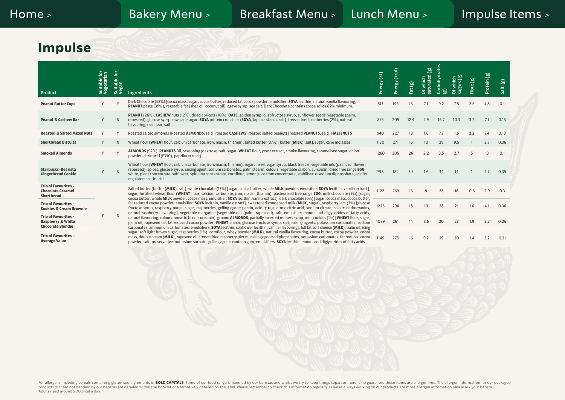# **Impulse**

| Product                                                                                 | Suitable for<br>Vegetarian | Suitable for<br>Vegan | Ingredients                                                                                                                                                                                                                                                                                                                                                                                                                                                                                                                                                                                                                                                                                                                                                                                                                                                                                                                                                                                                                                                                                                                                                                                                                                                                                                                                                                                                                                                                                                     | Energy (kJ) | Energy (kcal) | Fat(g) | saturated (g)<br>Of which | Carbohydrates<br>මු |      | $\mathbf{\widehat{g}}$<br>Fibre | Protein (g) | මූ<br>Salt |
|-----------------------------------------------------------------------------------------|----------------------------|-----------------------|-----------------------------------------------------------------------------------------------------------------------------------------------------------------------------------------------------------------------------------------------------------------------------------------------------------------------------------------------------------------------------------------------------------------------------------------------------------------------------------------------------------------------------------------------------------------------------------------------------------------------------------------------------------------------------------------------------------------------------------------------------------------------------------------------------------------------------------------------------------------------------------------------------------------------------------------------------------------------------------------------------------------------------------------------------------------------------------------------------------------------------------------------------------------------------------------------------------------------------------------------------------------------------------------------------------------------------------------------------------------------------------------------------------------------------------------------------------------------------------------------------------------|-------------|---------------|--------|---------------------------|---------------------|------|---------------------------------|-------------|------------|
| <b>Peanut Butter Cups</b>                                                               |                            |                       | Dark Chocolate (53%) [cocoa mass, sugar, cocoa butter, reduced fat cocoa powder, emulsifier: SOYA lecithin, natural vanilla flavouring,<br>PEANUT paste (39%), vegetable fat [shea oil, coconut oil], agave syrup, sea salt. Dark Chocolate contains cocoa solids 62% minimum.                                                                                                                                                                                                                                                                                                                                                                                                                                                                                                                                                                                                                                                                                                                                                                                                                                                                                                                                                                                                                                                                                                                                                                                                                                  | 813         | 196           | 15     | 7.1                       | 9.2                 | 7.5  | 2.5                             | 4.8         | 0.1        |
| <b>Peanut &amp; Cashew Bar</b>                                                          |                            | N                     | PEANUT (26%), CASHEW nuts (12%), dried apricots (10%), OATS, golden syrup, oligofructose syrup, sunflower seeds, vegetable (palm,<br>rapeseed), glucose syurp, raw cane sugar, SOYA protein crunchies (SOYA, tapioca starch, salt), freeze dried cranberries (2%), natural<br>flavouring, rice flour, salt                                                                                                                                                                                                                                                                                                                                                                                                                                                                                                                                                                                                                                                                                                                                                                                                                                                                                                                                                                                                                                                                                                                                                                                                      | 875         | 209           | 12.4   | 2.9                       | 16.2                | 10.3 | 3.7                             | 7.1         | 0.15       |
| <b>Roasted &amp; Salted Mixed Nuts</b>                                                  | Y                          |                       | Roasted salted almonds [Roasted ALMONDS, salt], roasted CASHEWS, roasted salted peanuts [roasted PEANUTS, salt], HAZELNUTS                                                                                                                                                                                                                                                                                                                                                                                                                                                                                                                                                                                                                                                                                                                                                                                                                                                                                                                                                                                                                                                                                                                                                                                                                                                                                                                                                                                      | 940         | 227           | 18     | 1.6                       | 7.7                 | 1.6  | 2.2                             | 7.4         | 0.18       |
| <b>Shortbread Biscuits</b>                                                              |                            | N                     | Wheat flour (WHEAT flour, calcium carbonate, iron, niacin, thiamin), salted butter (37%) [butter (MILK), salt], sugar, cane molasses.                                                                                                                                                                                                                                                                                                                                                                                                                                                                                                                                                                                                                                                                                                                                                                                                                                                                                                                                                                                                                                                                                                                                                                                                                                                                                                                                                                           | 1130        | 271           | 16     | 10 <sup>10</sup>          | 29                  | 9.5  |                                 | 2.7         | 0.36       |
| <b>Smoked Almonds</b>                                                                   |                            |                       | ALMONDS (92%), PEANUTS Oil, seasoning (dextrose, salt, sugar, WHEAT flour, yeast extract, smoke flavouring, caramelised sugar, onion<br>powder, citric acid (E330), paprika extract).                                                                                                                                                                                                                                                                                                                                                                                                                                                                                                                                                                                                                                                                                                                                                                                                                                                                                                                                                                                                                                                                                                                                                                                                                                                                                                                           | 1260        | 305           | 26     | 2.2                       | 3.5                 | 2.7  | 5                               | 13          | 0.1        |
| Starbucks <sup>®</sup> Bearista<br><b>Gingerbread Cookie</b>                            |                            | N                     | Wheat flour (WHEAT flour, calcium carbonate, iron, niacin, thiamin), sugar, invert sugar syrup, black treacle, vegetable oils (palm, sunflower,<br>rapeseed); spices, glucose syrup, raising agent: sodium carbonates, palm stearin, colours: vegetable carbon, curcumin; dried free range EGG<br>white, plant concentrate: safflower, spirulina concentrate, cornflour, lemon juice from concentrate, stabiliser: disodium diphosphate, acidity<br>regulator: acetic acid.                                                                                                                                                                                                                                                                                                                                                                                                                                                                                                                                                                                                                                                                                                                                                                                                                                                                                                                                                                                                                                     | 798         | 182           | 3.7    | 1.6                       | 34                  | 14   |                                 | 2.7         | 0.35       |
| <b>Trio of Favourites -</b><br><b>Chocolate Caramel</b><br>Shortbread-                  |                            |                       | Salted butter [butter (MILK), salt], white chocolate (13%) [sugar, cocoa butter, whole MILK powder, emulsifier: SOYA lecithin, vanilla extract],<br>sugar, fortified wheat flour (WHEAT flour, calcium carbonate, iron, niacin, thiamin), pasteurised free range EGG, milk chocolate (9%) [sugar,                                                                                                                                                                                                                                                                                                                                                                                                                                                                                                                                                                                                                                                                                                                                                                                                                                                                                                                                                                                                                                                                                                                                                                                                               | 1122        | 269           | 16     | 9                         | 28                  | 16   | 0.6                             | 2.9         | 0.3        |
| <b>Trio of Favourites -</b><br><b>Cookies &amp; Cream Brownie</b>                       |                            |                       | cocoa butter, whole MILK powder, cocoa mass, emulsifier: SOYA lecithin, vanilla extract], dark chocolate (5%) [sugar, cocoa mass, cocoa butter,<br>fat reduced cocoa powder, emulsifier: SOYA lecithin, vanilla extract], sweetened condensed milk (MILK, sugar), raspberry jam (3%) [glucose<br>fructose syrup, raspberry puree, sugar, raspberries, gelling agent: pectin, acidity regulators: citric acid, sodium citrate; colour: anthocyanins,<br>natural raspberry flavouring], vegetable margarine [vegetable oils (palm, rapeseed), salt, emulsifier: mono- and diglycerides of fatty acids,<br>natural flavouring, colours: annatto bixin, curcumin], ground ALMONDS, partially inverted refiners syrup, mini cookies (1%) [WHEAT flour, sugar,<br>palm oil, rapeseed oil, fat reduced cocoa powder, WHEAT starch, glucose fructose syrup, salt, raising agents: potassium carbonates, sodium<br>carbonates, ammonium carbonates; emulsifiers: SOYA lecithin, sunflower lecithin; vanilla flavouring], full fat soft cheese (MILK), palm oil, icing<br>sugar, soft light brown sugar, raspberries (1%), cornflour, whey powder (MILK), natural vanilla flavouring, cocoa butter, cocoa powder, cocoa<br>mass, double cream (MILK), rapeseed oil, freeze dried raspberry pieces, raising agents: diphopshates, potassium carbonates; fat reduced cocoa<br>powder, salt, preservative: potassium sorbate, gelling agent: xanthan gum, emulsifiers: SOYA lecithin, mono- and diglycerides of fatty acids. | 1225        | 294           | 18     | 10                        | 28                  | 21   | 1.6                             | 4.1         | 0.36       |
| <b>Trio of Favourites -</b><br><b>Raspberry &amp; White</b><br><b>Chocolate Blondie</b> |                            | N                     |                                                                                                                                                                                                                                                                                                                                                                                                                                                                                                                                                                                                                                                                                                                                                                                                                                                                                                                                                                                                                                                                                                                                                                                                                                                                                                                                                                                                                                                                                                                 | 1089        | 261           | 14     | 8.6                       | 30                  | 23   | 1.9                             | 2.7         | 0.26       |
| <b>Trio of Favourites -</b><br><b>Average Value</b>                                     |                            |                       |                                                                                                                                                                                                                                                                                                                                                                                                                                                                                                                                                                                                                                                                                                                                                                                                                                                                                                                                                                                                                                                                                                                                                                                                                                                                                                                                                                                                                                                                                                                 | 1145        | 275           | 16     | 9.2                       | 29                  | 20   |                                 | 3.2         | 0.31       |